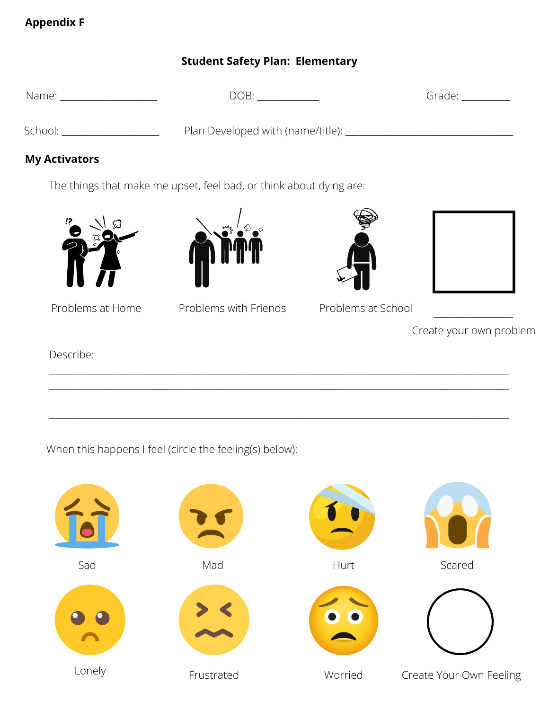## **Appendix F**

# **Student Safety Plan: Elementary**

Name:  $\Box$  DOB:  $\Box$ 

Grade:

School: \_\_\_\_\_\_\_\_\_\_\_\_\_\_\_\_\_\_\_\_\_\_\_\_\_\_ Plan Developed with (name/title): \_\_\_\_\_\_\_\_\_\_\_\_\_\_\_\_\_\_\_\_\_\_\_\_\_\_\_\_\_\_\_

## **My Activators**

The things that make me upset, feel bad, or think about dying are:





**F**

Problems at Home Problems with Friends Problems at School

|  | Create your own problem |  |
|--|-------------------------|--|

Describe:

\_\_\_\_\_\_\_\_\_\_\_\_\_\_\_\_\_\_\_\_\_\_\_\_\_\_\_\_\_\_\_\_\_\_\_\_\_\_\_\_\_\_\_\_\_\_\_\_\_\_\_\_\_\_\_\_\_\_\_\_\_\_\_\_\_\_\_\_\_\_\_\_\_\_\_\_\_\_\_\_\_\_\_\_\_\_\_\_\_\_\_\_\_\_\_\_\_\_\_\_\_\_\_\_ \_\_\_\_\_\_\_\_\_\_\_\_\_\_\_\_\_\_\_\_\_\_\_\_\_\_\_\_\_\_\_\_\_\_\_\_\_\_\_\_\_\_\_\_\_\_\_\_\_\_\_\_\_\_\_\_\_\_\_\_\_\_\_\_\_\_\_\_\_\_\_\_\_\_\_\_\_\_\_\_\_\_\_\_\_\_\_\_\_\_\_\_\_\_\_\_\_\_\_\_\_\_\_\_ \_\_\_\_\_\_\_\_\_\_\_\_\_\_\_\_\_\_\_\_\_\_\_\_\_\_\_\_\_\_\_\_\_\_\_\_\_\_\_\_\_\_\_\_\_\_\_\_\_\_\_\_\_\_\_\_\_\_\_\_\_\_\_\_\_\_\_\_\_\_\_\_\_\_\_\_\_\_\_\_\_\_\_\_\_\_\_\_\_\_\_\_\_\_\_\_\_\_\_\_\_\_\_\_ \_\_\_\_\_\_\_\_\_\_\_\_\_\_\_\_\_\_\_\_\_\_\_\_\_\_\_\_\_\_\_\_\_\_\_\_\_\_\_\_\_\_\_\_\_\_\_\_\_\_\_\_\_\_\_\_\_\_\_\_\_\_\_\_\_\_\_\_\_\_\_\_\_\_\_\_\_\_\_\_\_\_\_\_\_\_\_\_\_\_\_\_\_\_\_\_\_\_\_\_\_\_\_\_

When this happens I feel (circle the feeling(s) below):

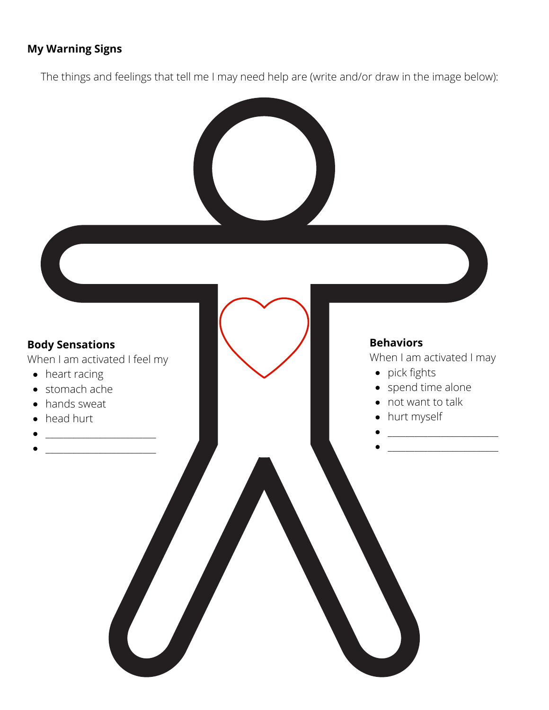#### **My Warning Signs**

The things and feelings that tell me I may need help are (write and/or draw in the image below):

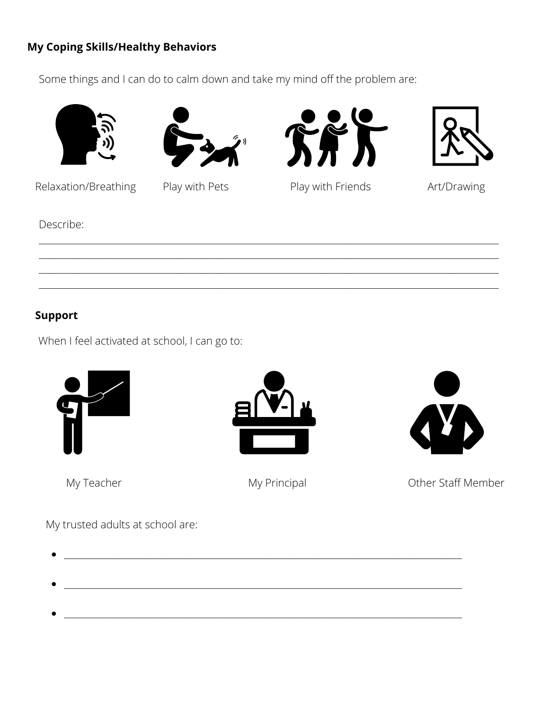## **My Coping Skills/Healthy Behaviors**

Some things and I can do to calm down and take my mind off the problem are:









Relaxation/Breathing

Play with Pets



Art/Drawing

Describe:

# **Support**

When I feel activated at school, I can go to:



My Teacher



My Principal



Other Staff Member

My trusted adults at school are: